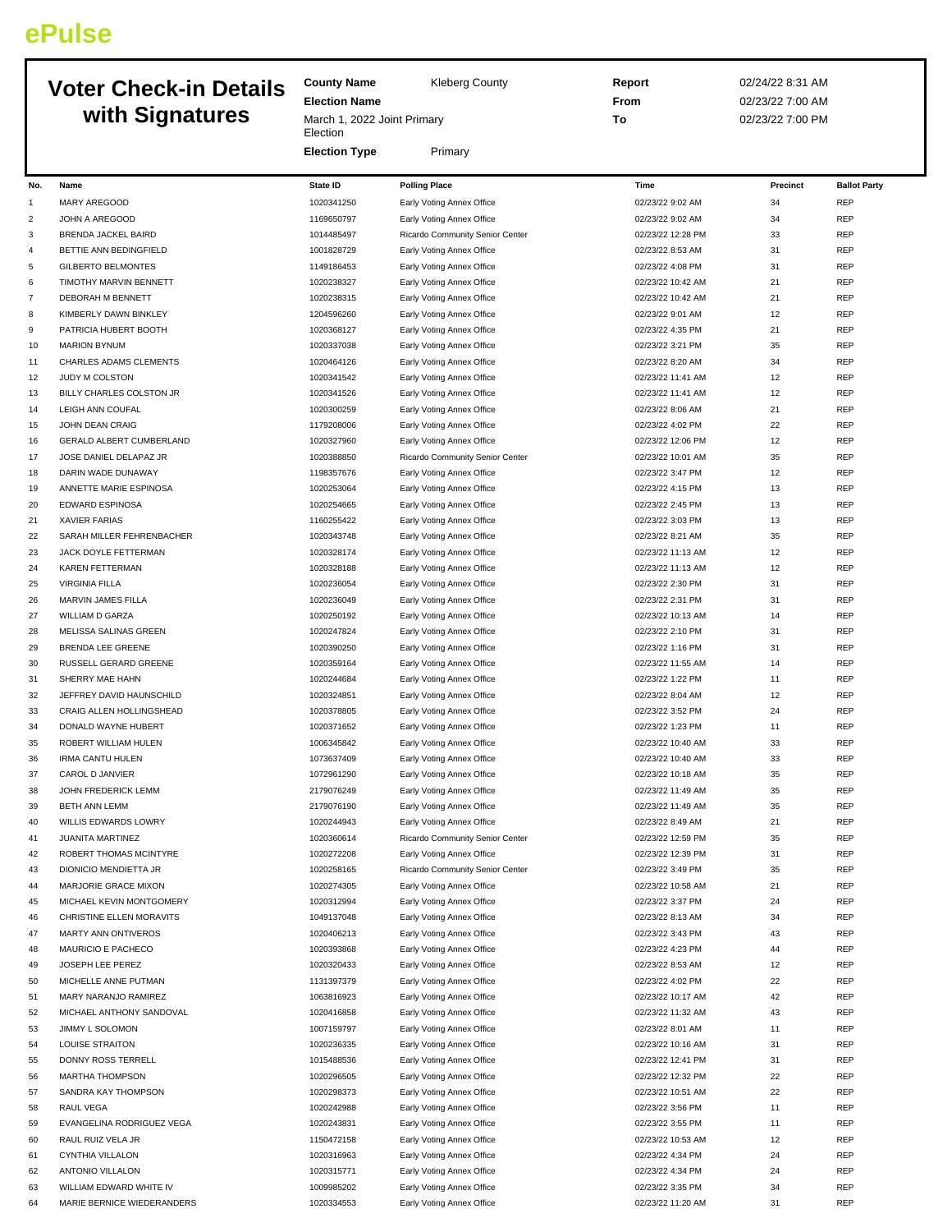## **ePulse**

## **Voter Check-in Details**

|                | <b>Voter Check-in Details</b>                    | <b>County Name</b>                      | <b>Kleberg County</b>                                  | Report                                 | 02/24/22 8:31 AM |                          |
|----------------|--------------------------------------------------|-----------------------------------------|--------------------------------------------------------|----------------------------------------|------------------|--------------------------|
|                |                                                  | <b>Election Name</b>                    |                                                        | From                                   | 02/23/22 7:00 AM |                          |
|                | with Signatures                                  | March 1, 2022 Joint Primary<br>Election |                                                        | To                                     | 02/23/22 7:00 PM |                          |
|                |                                                  | <b>Election Type</b>                    | Primary                                                |                                        |                  |                          |
| No.            | Name                                             | <b>State ID</b>                         | <b>Polling Place</b>                                   | Time                                   | Precinct         | <b>Ballot Party</b>      |
| $\mathbf{1}$   | MARY AREGOOD                                     | 1020341250                              | Early Voting Annex Office                              | 02/23/22 9:02 AM                       | 34               | <b>REP</b>               |
| $\overline{c}$ | JOHN A AREGOOD                                   | 1169650797                              | Early Voting Annex Office                              | 02/23/22 9:02 AM                       | 34               | REP                      |
| 3              | BRENDA JACKEL BAIRD                              | 1014485497                              | Ricardo Community Senior Center                        | 02/23/22 12:28 PM                      | 33               | REP                      |
| 4              | BETTIE ANN BEDINGFIELD                           | 1001828729                              | Early Voting Annex Office                              | 02/23/22 8:53 AM                       | 31               | <b>REP</b>               |
| 5              | <b>GILBERTO BELMONTES</b>                        | 1149186453                              | Early Voting Annex Office                              | 02/23/22 4:08 PM                       | 31               | <b>REP</b>               |
| 6              | TIMOTHY MARVIN BENNETT                           | 1020238327                              | Early Voting Annex Office                              | 02/23/22 10:42 AM                      | 21               | <b>REP</b>               |
| $\overline{7}$ | <b>DEBORAH M BENNETT</b>                         | 1020238315                              | Early Voting Annex Office                              | 02/23/22 10:42 AM                      | 21               | REP                      |
| 8              | KIMBERLY DAWN BINKLEY                            | 1204596260                              | Early Voting Annex Office                              | 02/23/22 9:01 AM                       | 12               | <b>REP</b>               |
| 9              | PATRICIA HUBERT BOOTH                            | 1020368127                              | Early Voting Annex Office                              | 02/23/22 4:35 PM                       | 21               | <b>REP</b>               |
| 10             | <b>MARION BYNUM</b>                              | 1020337038                              | Early Voting Annex Office                              | 02/23/22 3:21 PM                       | 35               | REP                      |
| 11             | CHARLES ADAMS CLEMENTS                           | 1020464126                              | Early Voting Annex Office                              | 02/23/22 8:20 AM                       | 34               | <b>REP</b>               |
| 12             | JUDY M COLSTON                                   | 1020341542                              | Early Voting Annex Office                              | 02/23/22 11:41 AM                      | 12               | REP                      |
| 13             | BILLY CHARLES COLSTON JR                         | 1020341526                              | Early Voting Annex Office                              | 02/23/22 11:41 AM                      | 12               | <b>REP</b>               |
| 14             | LEIGH ANN COUFAL                                 | 1020300259                              | Early Voting Annex Office                              | 02/23/22 8:06 AM                       | 21               | <b>REP</b>               |
| 15             | <b>JOHN DEAN CRAIG</b>                           | 1179208006                              | Early Voting Annex Office                              | 02/23/22 4:02 PM                       | 22               | REP                      |
| 16             | GERALD ALBERT CUMBERLAND                         | 1020327960                              | Early Voting Annex Office                              | 02/23/22 12:06 PM                      | 12               | <b>REP</b>               |
| 17             | JOSE DANIEL DELAPAZ JR                           | 1020388850                              | Ricardo Community Senior Center                        | 02/23/22 10:01 AM                      | 35               | REP                      |
| 18             | DARIN WADE DUNAWAY                               | 1198357676                              | Early Voting Annex Office                              | 02/23/22 3:47 PM                       | 12               | <b>REP</b>               |
| 19             | ANNETTE MARIE ESPINOSA                           | 1020253064                              | Early Voting Annex Office                              | 02/23/22 4:15 PM                       | 13               | <b>REP</b>               |
| 20             | <b>EDWARD ESPINOSA</b>                           | 1020254665                              | Early Voting Annex Office                              | 02/23/22 2:45 PM                       | 13               | <b>REP</b>               |
| 21             | <b>XAVIER FARIAS</b>                             | 1160255422                              | Early Voting Annex Office                              | 02/23/22 3:03 PM                       | 13               | <b>REP</b>               |
| 22             | SARAH MILLER FEHRENBACHER                        | 1020343748                              | Early Voting Annex Office                              | 02/23/22 8:21 AM                       | 35               | <b>REP</b>               |
| 23             | JACK DOYLE FETTERMAN                             | 1020328174                              | Early Voting Annex Office                              | 02/23/22 11:13 AM                      | 12               | REP                      |
| 24             | KAREN FETTERMAN                                  | 1020328188                              | Early Voting Annex Office                              | 02/23/22 11:13 AM                      | 12               | <b>REP</b>               |
| 25             | <b>VIRGINIA FILLA</b>                            | 1020236054                              | Early Voting Annex Office                              | 02/23/22 2:30 PM                       | 31               | REP                      |
| 26             | MARVIN JAMES FILLA                               | 1020236049                              | Early Voting Annex Office                              | 02/23/22 2:31 PM                       | 31               | <b>REP</b>               |
| 27             | WILLIAM D GARZA                                  | 1020250192                              | Early Voting Annex Office                              | 02/23/22 10:13 AM                      | 14               | REP                      |
| 28             | MELISSA SALINAS GREEN                            | 1020247824                              | Early Voting Annex Office                              | 02/23/22 2:10 PM                       | 31               | <b>REP</b>               |
| 29             | BRENDA LEE GREENE                                | 1020390250                              | Early Voting Annex Office                              | 02/23/22 1:16 PM                       | 31               | <b>REP</b>               |
| 30             | RUSSELL GERARD GREENE                            | 1020359164                              | Early Voting Annex Office                              | 02/23/22 11:55 AM                      | 14               | <b>REP</b>               |
| 31             | SHERRY MAE HAHN                                  | 1020244684                              | Early Voting Annex Office                              | 02/23/22 1:22 PM                       | 11               | <b>REP</b>               |
| 32             | JEFFREY DAVID HAUNSCHILD                         | 1020324851                              | Early Voting Annex Office                              | 02/23/22 8:04 AM                       | 12               | REP                      |
| 33             | CRAIG ALLEN HOLLINGSHEAD                         | 1020378805                              | Early Voting Annex Office                              | 02/23/22 3:52 PM                       | 24               | <b>REP</b>               |
| 34             | DONALD WAYNE HUBERT                              | 1020371652                              | Early Voting Annex Office                              | 02/23/22 1:23 PM                       | 11               | <b>REP</b>               |
| 35             | ROBERT WILLIAM HULEN                             | 1006345842                              | Early Voting Annex Office                              | 02/23/22 10:40 AM                      | 33               | <b>REP</b>               |
| 36             | <b>IRMA CANTU HULEN</b>                          | 1073637409                              | Early Voting Annex Office                              | 02/23/22 10:40 AM                      | 33               | <b>REP</b>               |
| 37             | CAROL D JANVIER                                  | 1072961290                              | Early Voting Annex Office                              | 02/23/22 10:18 AM                      |                  | REP                      |
| 38             | JOHN FREDERICK LEMM                              | 2179076249                              | Early Voting Annex Office                              | 02/23/22 11:49 AM                      | 35               | <b>REP</b>               |
| 39             | BETH ANN LEMM                                    | 2179076190                              | Early Voting Annex Office                              | 02/23/22 11:49 AM                      | 35               | <b>REP</b>               |
| 40             | WILLIS EDWARDS LOWRY                             | 1020244943                              | Early Voting Annex Office                              | 02/23/22 8:49 AM                       | 21               | <b>REP</b>               |
| 41             | JUANITA MARTINEZ                                 | 1020360614                              | Ricardo Community Senior Center                        | 02/23/22 12:59 PM                      | 35               | <b>REP</b>               |
| 42             | ROBERT THOMAS MCINTYRE                           | 1020272208                              | Early Voting Annex Office                              | 02/23/22 12:39 PM                      | 31               | <b>REP</b>               |
| 43             | DIONICIO MENDIETTA JR                            | 1020258165                              | Ricardo Community Senior Center                        | 02/23/22 3:49 PM                       | 35               | REP                      |
| 44             | MARJORIE GRACE MIXON                             | 1020274305                              | Early Voting Annex Office                              | 02/23/22 10:58 AM                      | 21               | REP                      |
| 45             | MICHAEL KEVIN MONTGOMERY                         | 1020312994                              | Early Voting Annex Office                              | 02/23/22 3:37 PM                       | 24               | <b>REP</b>               |
| 46             | CHRISTINE ELLEN MORAVITS                         | 1049137048<br>1020406213                | Early Voting Annex Office                              | 02/23/22 8:13 AM<br>02/23/22 3:43 PM   | 34               | <b>REP</b><br>REP        |
| 47             | MARTY ANN ONTIVEROS<br>MAURICIO E PACHECO        | 1020393868                              | Early Voting Annex Office                              | 02/23/22 4:23 PM                       | 43<br>44         | <b>REP</b>               |
| 48             |                                                  |                                         | Early Voting Annex Office                              |                                        |                  |                          |
| 49             | JOSEPH LEE PEREZ                                 | 1020320433                              | Early Voting Annex Office                              | 02/23/22 8:53 AM                       | 12               | REP                      |
| 50             | MICHELLE ANNE PUTMAN                             | 1131397379                              | Early Voting Annex Office                              | 02/23/22 4:02 PM                       | 22               | <b>REP</b><br><b>REP</b> |
| 51             | MARY NARANJO RAMIREZ<br>MICHAEL ANTHONY SANDOVAL | 1063816923<br>1020416858                | Early Voting Annex Office                              | 02/23/22 10:17 AM<br>02/23/22 11:32 AM | 42<br>43         | <b>REP</b>               |
| 52<br>53       | JIMMY L SOLOMON                                  | 1007159797                              | Early Voting Annex Office<br>Early Voting Annex Office | 02/23/22 8:01 AM                       | 11               | REP                      |
| 54             | LOUISE STRAITON                                  | 1020236335                              | Early Voting Annex Office                              | 02/23/22 10:16 AM                      | 31               | REP                      |
| 55             | DONNY ROSS TERRELL                               | 1015488536                              | Early Voting Annex Office                              | 02/23/22 12:41 PM                      | $31\,$           | <b>REP</b>               |
| 56             | <b>MARTHA THOMPSON</b>                           | 1020296505                              | Early Voting Annex Office                              | 02/23/22 12:32 PM                      | 22               | <b>REP</b>               |

 SANDRA KAY THOMPSON 1020298373 Early Voting Annex Office 02/23/22 10:51 AM 22 REP RAUL VEGA 1020242988 Early Voting Annex Office 02/23/22 3:56 PM 11 REP EVANGELINA RODRIGUEZ VEGA 1020243831 Early Voting Annex Office 02/23/22 3:55 PM 11 REP RAUL RUIZ VELA JR 1150472158 Early Voting Annex Office 02/23/22 10:53 AM 12 REP CYNTHIA VILLALON 1020316963 Early Voting Annex Office 02/23/22 4:34 PM 24 REP ANTONIO VILLALON 1020315771 Early Voting Annex Office 02/23/22 4:34 PM 24 REP WILLIAM EDWARD WHITE IV 1009985202 Early Voting Annex Office 02/23/22 3:35 PM 34 REP MARIE BERNICE WIEDERANDERS 1020334553 Early Voting Annex Office 02/23/22 11:20 AM 31 REP